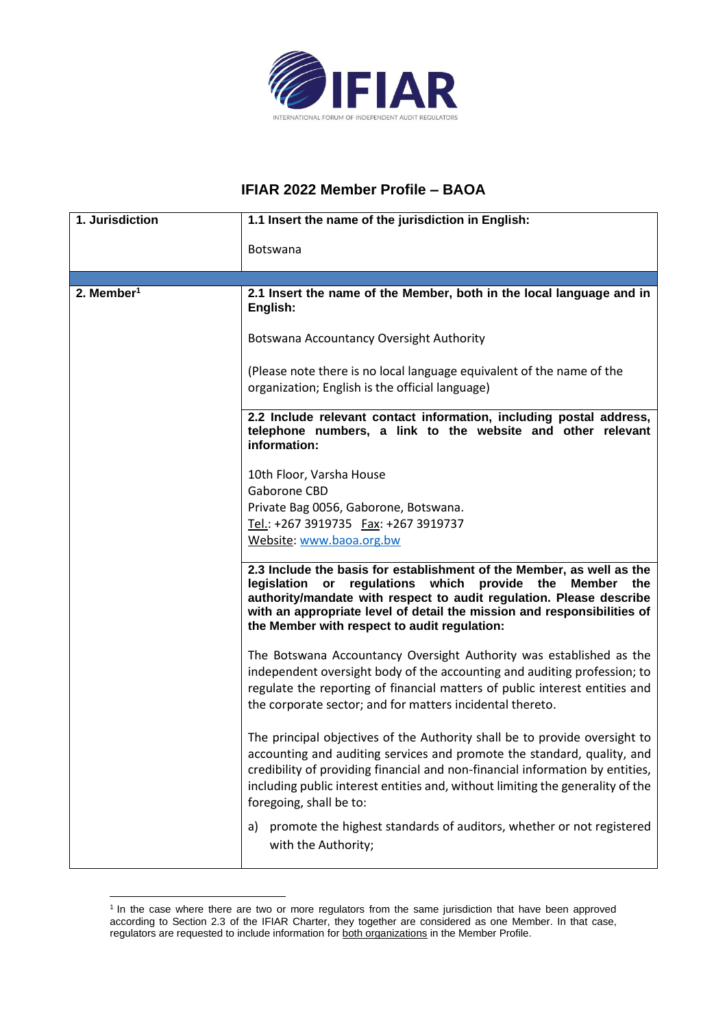

## **IFIAR 2022 Member Profile – BAOA**

| 1. Jurisdiction          | 1.1 Insert the name of the jurisdiction in English:                                                                                                                                                                                                                                                                                                 |
|--------------------------|-----------------------------------------------------------------------------------------------------------------------------------------------------------------------------------------------------------------------------------------------------------------------------------------------------------------------------------------------------|
|                          | Botswana                                                                                                                                                                                                                                                                                                                                            |
|                          |                                                                                                                                                                                                                                                                                                                                                     |
| $2.$ Member <sup>1</sup> | 2.1 Insert the name of the Member, both in the local language and in<br>English:                                                                                                                                                                                                                                                                    |
|                          | Botswana Accountancy Oversight Authority                                                                                                                                                                                                                                                                                                            |
|                          | (Please note there is no local language equivalent of the name of the<br>organization; English is the official language)                                                                                                                                                                                                                            |
|                          |                                                                                                                                                                                                                                                                                                                                                     |
|                          | 2.2 Include relevant contact information, including postal address,<br>telephone numbers, a link to the website and other relevant<br>information:                                                                                                                                                                                                  |
|                          | 10th Floor, Varsha House                                                                                                                                                                                                                                                                                                                            |
|                          | Gaborone CBD                                                                                                                                                                                                                                                                                                                                        |
|                          | Private Bag 0056, Gaborone, Botswana.                                                                                                                                                                                                                                                                                                               |
|                          | Tel.: +267 3919735  Fax: +267 3919737                                                                                                                                                                                                                                                                                                               |
|                          | Website: www.baoa.org.bw                                                                                                                                                                                                                                                                                                                            |
|                          | 2.3 Include the basis for establishment of the Member, as well as the<br>or regulations which provide the<br>legislation<br>Member<br>the<br>authority/mandate with respect to audit regulation. Please describe<br>with an appropriate level of detail the mission and responsibilities of<br>the Member with respect to audit regulation:         |
|                          | The Botswana Accountancy Oversight Authority was established as the                                                                                                                                                                                                                                                                                 |
|                          | independent oversight body of the accounting and auditing profession; to                                                                                                                                                                                                                                                                            |
|                          | regulate the reporting of financial matters of public interest entities and                                                                                                                                                                                                                                                                         |
|                          | the corporate sector; and for matters incidental thereto.                                                                                                                                                                                                                                                                                           |
|                          | The principal objectives of the Authority shall be to provide oversight to<br>accounting and auditing services and promote the standard, quality, and<br>credibility of providing financial and non-financial information by entities,<br>including public interest entities and, without limiting the generality of the<br>foregoing, shall be to: |
|                          | promote the highest standards of auditors, whether or not registered<br>a)<br>with the Authority;                                                                                                                                                                                                                                                   |

<sup>1</sup> In the case where there are two or more regulators from the same jurisdiction that have been approved according to Section 2.3 of the IFIAR Charter, they together are considered as one Member. In that case, regulators are requested to include information for both organizations in the Member Profile.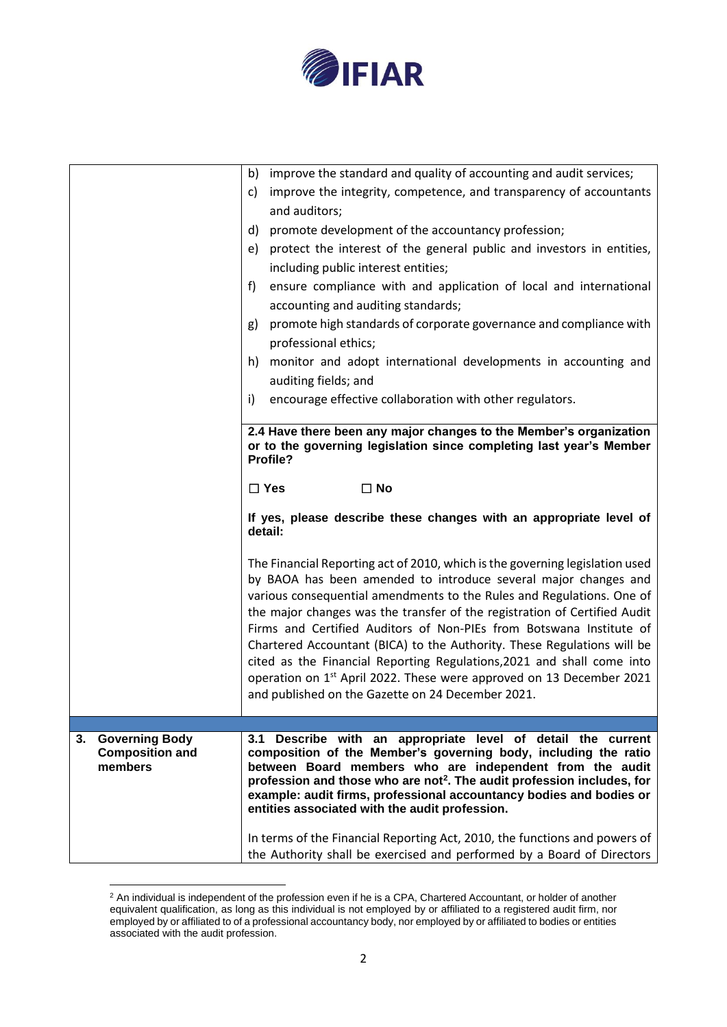

|                                                                  | improve the standard and quality of accounting and audit services;<br>b)                                                                                                                                                                                                                                                                                                                                                                                                                                                                                                                                                                                                   |
|------------------------------------------------------------------|----------------------------------------------------------------------------------------------------------------------------------------------------------------------------------------------------------------------------------------------------------------------------------------------------------------------------------------------------------------------------------------------------------------------------------------------------------------------------------------------------------------------------------------------------------------------------------------------------------------------------------------------------------------------------|
|                                                                  | improve the integrity, competence, and transparency of accountants<br>C)<br>and auditors;                                                                                                                                                                                                                                                                                                                                                                                                                                                                                                                                                                                  |
|                                                                  | promote development of the accountancy profession;<br>d)                                                                                                                                                                                                                                                                                                                                                                                                                                                                                                                                                                                                                   |
|                                                                  | protect the interest of the general public and investors in entities,<br>e)                                                                                                                                                                                                                                                                                                                                                                                                                                                                                                                                                                                                |
|                                                                  | including public interest entities;                                                                                                                                                                                                                                                                                                                                                                                                                                                                                                                                                                                                                                        |
|                                                                  | ensure compliance with and application of local and international<br>f)<br>accounting and auditing standards;                                                                                                                                                                                                                                                                                                                                                                                                                                                                                                                                                              |
|                                                                  | promote high standards of corporate governance and compliance with<br>g)                                                                                                                                                                                                                                                                                                                                                                                                                                                                                                                                                                                                   |
|                                                                  | professional ethics;                                                                                                                                                                                                                                                                                                                                                                                                                                                                                                                                                                                                                                                       |
|                                                                  | h) monitor and adopt international developments in accounting and                                                                                                                                                                                                                                                                                                                                                                                                                                                                                                                                                                                                          |
|                                                                  | auditing fields; and                                                                                                                                                                                                                                                                                                                                                                                                                                                                                                                                                                                                                                                       |
|                                                                  | encourage effective collaboration with other regulators.<br>i)                                                                                                                                                                                                                                                                                                                                                                                                                                                                                                                                                                                                             |
|                                                                  | 2.4 Have there been any major changes to the Member's organization                                                                                                                                                                                                                                                                                                                                                                                                                                                                                                                                                                                                         |
|                                                                  | or to the governing legislation since completing last year's Member<br>Profile?                                                                                                                                                                                                                                                                                                                                                                                                                                                                                                                                                                                            |
|                                                                  | $\Box$ Yes<br>$\square$ No                                                                                                                                                                                                                                                                                                                                                                                                                                                                                                                                                                                                                                                 |
|                                                                  | If yes, please describe these changes with an appropriate level of<br>detail:                                                                                                                                                                                                                                                                                                                                                                                                                                                                                                                                                                                              |
|                                                                  | The Financial Reporting act of 2010, which is the governing legislation used<br>by BAOA has been amended to introduce several major changes and<br>various consequential amendments to the Rules and Regulations. One of<br>the major changes was the transfer of the registration of Certified Audit<br>Firms and Certified Auditors of Non-PIEs from Botswana Institute of<br>Chartered Accountant (BICA) to the Authority. These Regulations will be<br>cited as the Financial Reporting Regulations, 2021 and shall come into<br>operation on 1 <sup>st</sup> April 2022. These were approved on 13 December 2021<br>and published on the Gazette on 24 December 2021. |
|                                                                  |                                                                                                                                                                                                                                                                                                                                                                                                                                                                                                                                                                                                                                                                            |
| <b>Governing Body</b><br>3.<br><b>Composition and</b><br>members | 3.1 Describe with an appropriate level of detail the current<br>composition of the Member's governing body, including the ratio<br>between Board members who are independent from the audit<br>profession and those who are not <sup>2</sup> . The audit profession includes, for<br>example: audit firms, professional accountancy bodies and bodies or<br>entities associated with the audit profession.                                                                                                                                                                                                                                                                 |
|                                                                  | In terms of the Financial Reporting Act, 2010, the functions and powers of<br>the Authority shall be exercised and performed by a Board of Directors                                                                                                                                                                                                                                                                                                                                                                                                                                                                                                                       |

 $2$  An individual is independent of the profession even if he is a CPA, Chartered Accountant, or holder of another equivalent qualification, as long as this individual is not employed by or affiliated to a registered audit firm, nor employed by or affiliated to of a professional accountancy body, nor employed by or affiliated to bodies or entities associated with the audit profession.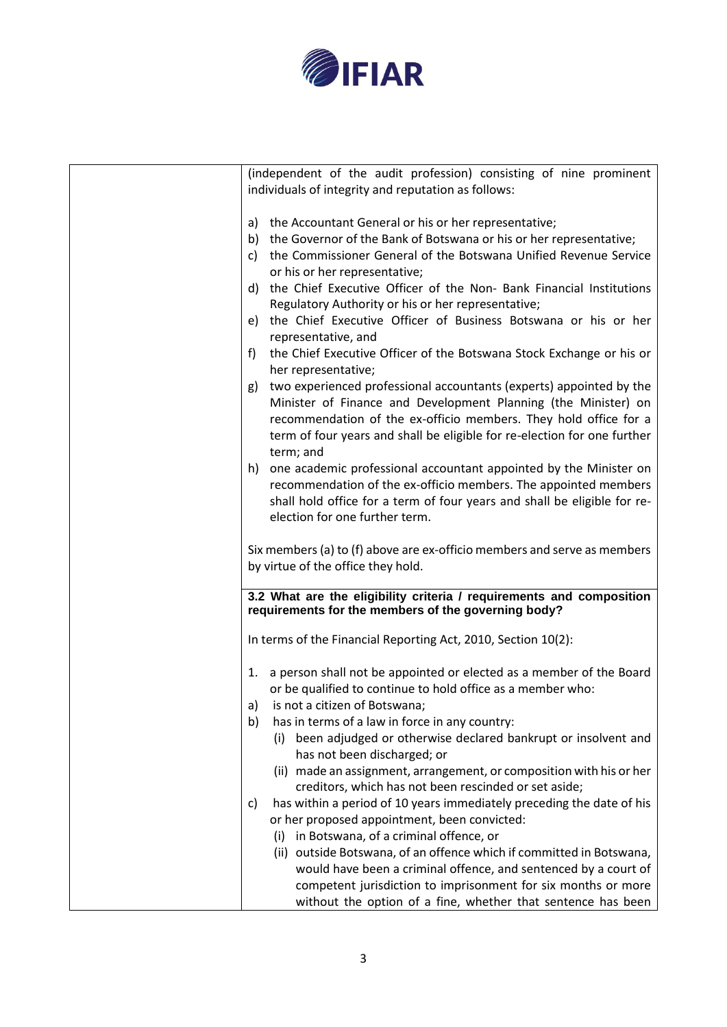

| (independent of the audit profession) consisting of nine prominent                                                            |
|-------------------------------------------------------------------------------------------------------------------------------|
| individuals of integrity and reputation as follows:                                                                           |
|                                                                                                                               |
|                                                                                                                               |
| a) the Accountant General or his or her representative;                                                                       |
| b) the Governor of the Bank of Botswana or his or her representative;                                                         |
|                                                                                                                               |
| the Commissioner General of the Botswana Unified Revenue Service<br>c)                                                        |
| or his or her representative;                                                                                                 |
| d) the Chief Executive Officer of the Non- Bank Financial Institutions                                                        |
|                                                                                                                               |
| Regulatory Authority or his or her representative;                                                                            |
| the Chief Executive Officer of Business Botswana or his or her<br>e) -                                                        |
| representative, and                                                                                                           |
|                                                                                                                               |
| the Chief Executive Officer of the Botswana Stock Exchange or his or<br>f                                                     |
| her representative;                                                                                                           |
| g) two experienced professional accountants (experts) appointed by the                                                        |
|                                                                                                                               |
| Minister of Finance and Development Planning (the Minister) on                                                                |
| recommendation of the ex-officio members. They hold office for a                                                              |
| term of four years and shall be eligible for re-election for one further                                                      |
|                                                                                                                               |
| term; and                                                                                                                     |
| h) one academic professional accountant appointed by the Minister on                                                          |
| recommendation of the ex-officio members. The appointed members                                                               |
|                                                                                                                               |
| shall hold office for a term of four years and shall be eligible for re-                                                      |
| election for one further term.                                                                                                |
|                                                                                                                               |
|                                                                                                                               |
| Six members (a) to (f) above are ex-officio members and serve as members                                                      |
| by virtue of the office they hold.                                                                                            |
|                                                                                                                               |
| 3.2 What are the eligibility criteria / requirements and composition                                                          |
| requirements for the members of the governing body?                                                                           |
|                                                                                                                               |
|                                                                                                                               |
| In terms of the Financial Reporting Act, 2010, Section 10(2):                                                                 |
|                                                                                                                               |
|                                                                                                                               |
|                                                                                                                               |
| 1. a person shall not be appointed or elected as a member of the Board                                                        |
| or be qualified to continue to hold office as a member who:                                                                   |
| a) is not a citizen of Botswana;                                                                                              |
|                                                                                                                               |
| has in terms of a law in force in any country:<br>b)                                                                          |
| (i) been adjudged or otherwise declared bankrupt or insolvent and                                                             |
| has not been discharged; or                                                                                                   |
|                                                                                                                               |
| (ii) made an assignment, arrangement, or composition with his or her                                                          |
| creditors, which has not been rescinded or set aside;                                                                         |
| has within a period of 10 years immediately preceding the date of his<br>C)                                                   |
|                                                                                                                               |
| or her proposed appointment, been convicted:                                                                                  |
| (i) in Botswana, of a criminal offence, or                                                                                    |
| (ii) outside Botswana, of an offence which if committed in Botswana,                                                          |
|                                                                                                                               |
| would have been a criminal offence, and sentenced by a court of                                                               |
| competent jurisdiction to imprisonment for six months or more<br>without the option of a fine, whether that sentence has been |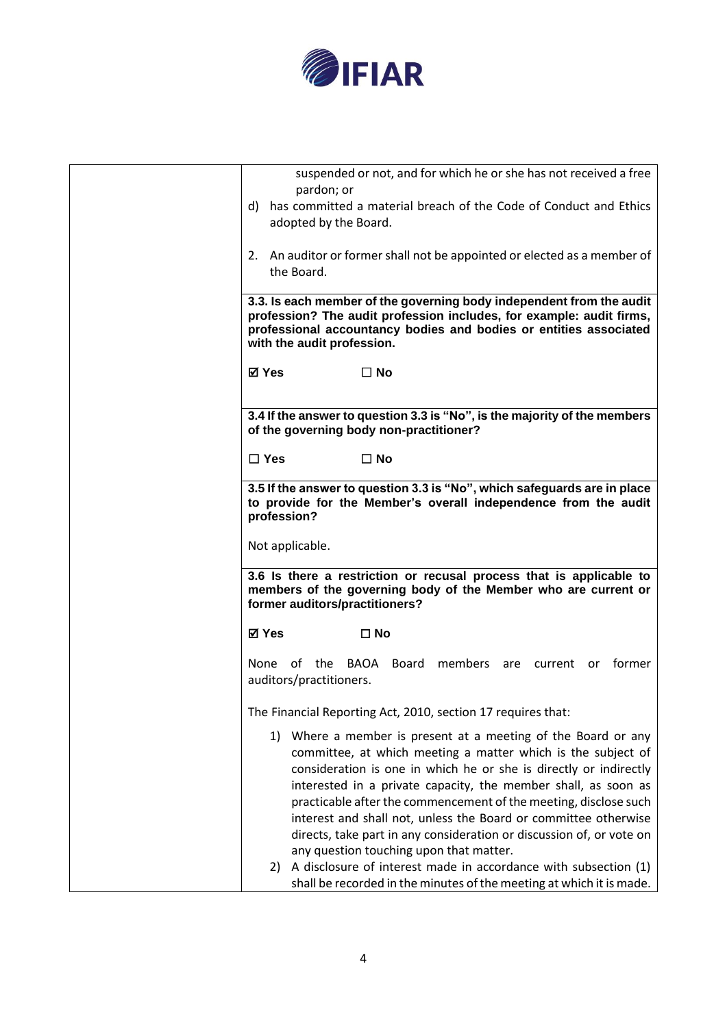

| suspended or not, and for which he or she has not received a free<br>pardon; or                                                                                                                                                                 |
|-------------------------------------------------------------------------------------------------------------------------------------------------------------------------------------------------------------------------------------------------|
| d) has committed a material breach of the Code of Conduct and Ethics<br>adopted by the Board.                                                                                                                                                   |
| 2. An auditor or former shall not be appointed or elected as a member of<br>the Board.                                                                                                                                                          |
| 3.3. Is each member of the governing body independent from the audit<br>profession? The audit profession includes, for example: audit firms,<br>professional accountancy bodies and bodies or entities associated<br>with the audit profession. |
| <b>⊠</b> Yes<br>$\square$ No                                                                                                                                                                                                                    |
| 3.4 If the answer to question 3.3 is "No", is the majority of the members<br>of the governing body non-practitioner?                                                                                                                            |
| $\Box$ Yes<br>⊟ No                                                                                                                                                                                                                              |
| 3.5 If the answer to question 3.3 is "No", which safeguards are in place<br>to provide for the Member's overall independence from the audit<br>profession?                                                                                      |
| Not applicable.                                                                                                                                                                                                                                 |
| 3.6 Is there a restriction or recusal process that is applicable to<br>members of the governing body of the Member who are current or<br>former auditors/practitioners?                                                                         |
| ⊠ Yes<br>$\Box$ No                                                                                                                                                                                                                              |
| None of the BAOA Board members<br>tormer<br>are<br>current<br>or.<br>auditors/practitioners.                                                                                                                                                    |
| The Financial Reporting Act, 2010, section 17 requires that:                                                                                                                                                                                    |
| 1) Where a member is present at a meeting of the Board or any<br>committee, at which meeting a matter which is the subject of                                                                                                                   |
| consideration is one in which he or she is directly or indirectly<br>interested in a private capacity, the member shall, as soon as                                                                                                             |
| practicable after the commencement of the meeting, disclose such<br>interest and shall not, unless the Board or committee otherwise                                                                                                             |
| directs, take part in any consideration or discussion of, or vote on<br>any question touching upon that matter.                                                                                                                                 |
| A disclosure of interest made in accordance with subsection (1)<br>2)<br>shall be recorded in the minutes of the meeting at which it is made.                                                                                                   |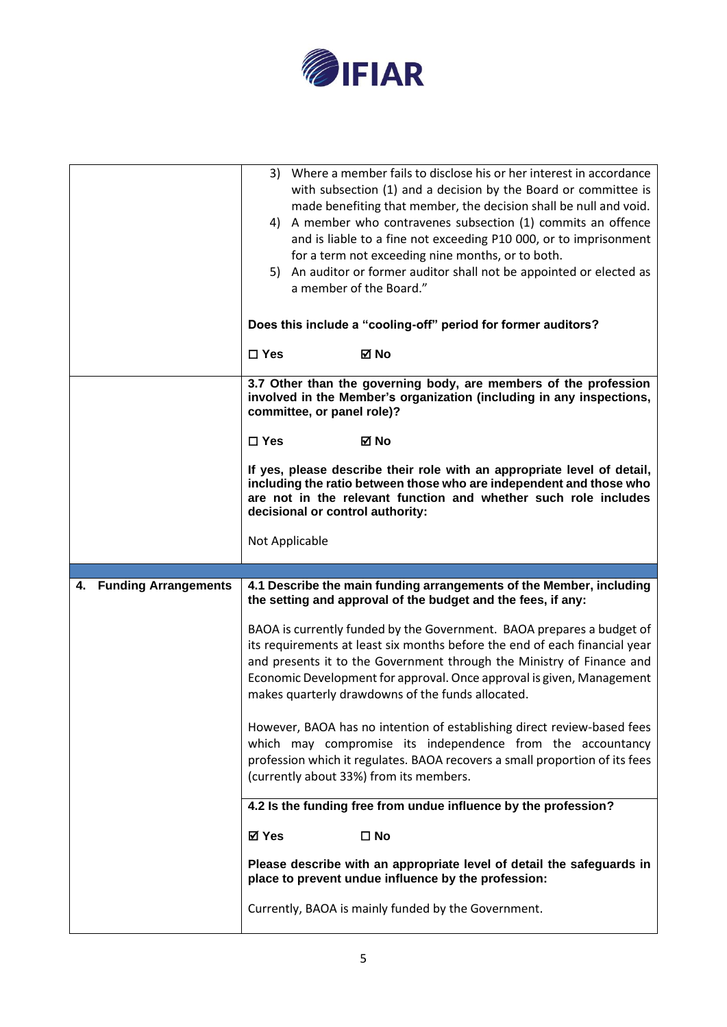

|                                   | Where a member fails to disclose his or her interest in accordance<br>3)<br>with subsection (1) and a decision by the Board or committee is<br>made benefiting that member, the decision shall be null and void.<br>4) A member who contravenes subsection (1) commits an offence<br>and is liable to a fine not exceeding P10 000, or to imprisonment<br>for a term not exceeding nine months, or to both.<br>5) An auditor or former auditor shall not be appointed or elected as<br>a member of the Board."<br>Does this include a "cooling-off" period for former auditors? |
|-----------------------------------|---------------------------------------------------------------------------------------------------------------------------------------------------------------------------------------------------------------------------------------------------------------------------------------------------------------------------------------------------------------------------------------------------------------------------------------------------------------------------------------------------------------------------------------------------------------------------------|
|                                   | ⊠ No<br>$\Box$ Yes                                                                                                                                                                                                                                                                                                                                                                                                                                                                                                                                                              |
|                                   | 3.7 Other than the governing body, are members of the profession<br>involved in the Member's organization (including in any inspections,<br>committee, or panel role)?                                                                                                                                                                                                                                                                                                                                                                                                          |
|                                   | $\Box$ Yes<br>⊠ No                                                                                                                                                                                                                                                                                                                                                                                                                                                                                                                                                              |
|                                   | If yes, please describe their role with an appropriate level of detail,<br>including the ratio between those who are independent and those who<br>are not in the relevant function and whether such role includes<br>decisional or control authority:                                                                                                                                                                                                                                                                                                                           |
|                                   | Not Applicable                                                                                                                                                                                                                                                                                                                                                                                                                                                                                                                                                                  |
|                                   |                                                                                                                                                                                                                                                                                                                                                                                                                                                                                                                                                                                 |
| <b>Funding Arrangements</b><br>4. | 4.1 Describe the main funding arrangements of the Member, including<br>the setting and approval of the budget and the fees, if any:                                                                                                                                                                                                                                                                                                                                                                                                                                             |
|                                   | BAOA is currently funded by the Government. BAOA prepares a budget of<br>its requirements at least six months before the end of each financial year<br>and presents it to the Government through the Ministry of Finance and<br>Economic Development for approval. Once approval is given, Management<br>makes quarterly drawdowns of the funds allocated.                                                                                                                                                                                                                      |
|                                   | However, BAOA has no intention of establishing direct review-based fees<br>which may compromise its independence from the accountancy<br>profession which it regulates. BAOA recovers a small proportion of its fees<br>(currently about 33%) from its members.                                                                                                                                                                                                                                                                                                                 |
|                                   | 4.2 Is the funding free from undue influence by the profession?                                                                                                                                                                                                                                                                                                                                                                                                                                                                                                                 |
|                                   | ⊠ Yes<br>$\square$ No                                                                                                                                                                                                                                                                                                                                                                                                                                                                                                                                                           |
|                                   | Please describe with an appropriate level of detail the safeguards in<br>place to prevent undue influence by the profession:                                                                                                                                                                                                                                                                                                                                                                                                                                                    |
|                                   |                                                                                                                                                                                                                                                                                                                                                                                                                                                                                                                                                                                 |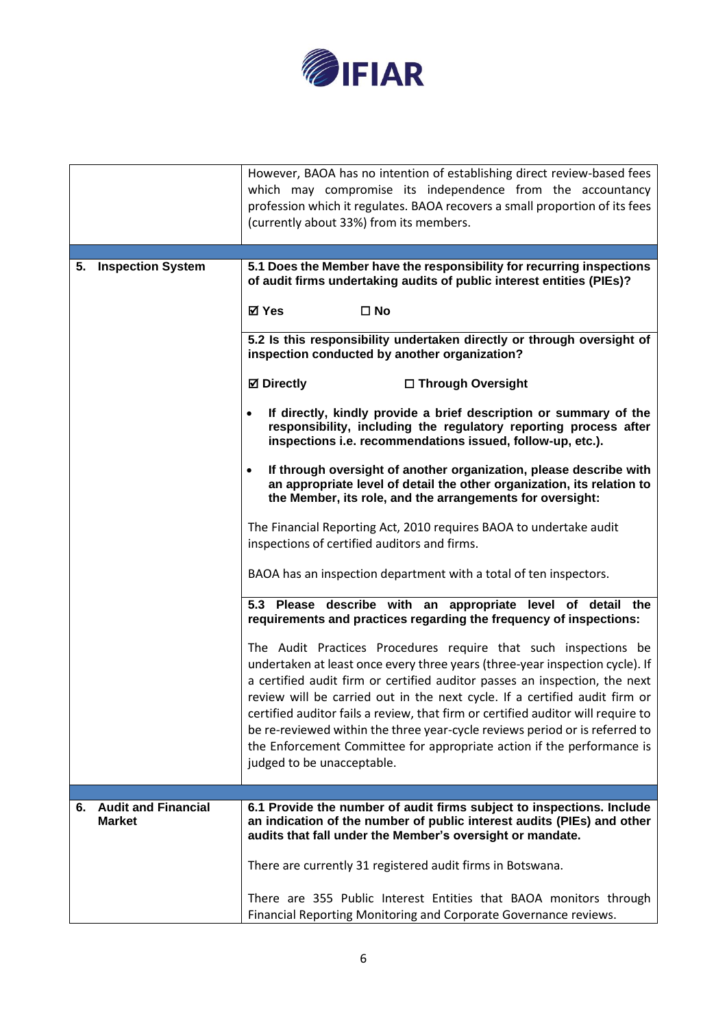

|                                                   | However, BAOA has no intention of establishing direct review-based fees<br>which may compromise its independence from the accountancy<br>profession which it regulates. BAOA recovers a small proportion of its fees<br>(currently about 33%) from its members.                                                                                                                                                                                                                                                                                                                        |
|---------------------------------------------------|----------------------------------------------------------------------------------------------------------------------------------------------------------------------------------------------------------------------------------------------------------------------------------------------------------------------------------------------------------------------------------------------------------------------------------------------------------------------------------------------------------------------------------------------------------------------------------------|
| <b>Inspection System</b><br>5.                    | 5.1 Does the Member have the responsibility for recurring inspections                                                                                                                                                                                                                                                                                                                                                                                                                                                                                                                  |
|                                                   | of audit firms undertaking audits of public interest entities (PIEs)?                                                                                                                                                                                                                                                                                                                                                                                                                                                                                                                  |
|                                                   | ⊠ Yes<br>$\square$ No                                                                                                                                                                                                                                                                                                                                                                                                                                                                                                                                                                  |
|                                                   | 5.2 Is this responsibility undertaken directly or through oversight of<br>inspection conducted by another organization?                                                                                                                                                                                                                                                                                                                                                                                                                                                                |
|                                                   | <b>⊠</b> Directly<br>□ Through Oversight                                                                                                                                                                                                                                                                                                                                                                                                                                                                                                                                               |
|                                                   | If directly, kindly provide a brief description or summary of the<br>responsibility, including the regulatory reporting process after<br>inspections i.e. recommendations issued, follow-up, etc.).                                                                                                                                                                                                                                                                                                                                                                                    |
|                                                   | If through oversight of another organization, please describe with<br>$\bullet$<br>an appropriate level of detail the other organization, its relation to<br>the Member, its role, and the arrangements for oversight:                                                                                                                                                                                                                                                                                                                                                                 |
|                                                   | The Financial Reporting Act, 2010 requires BAOA to undertake audit<br>inspections of certified auditors and firms.                                                                                                                                                                                                                                                                                                                                                                                                                                                                     |
|                                                   | BAOA has an inspection department with a total of ten inspectors.                                                                                                                                                                                                                                                                                                                                                                                                                                                                                                                      |
|                                                   | 5.3 Please describe with an appropriate level of detail the<br>requirements and practices regarding the frequency of inspections:                                                                                                                                                                                                                                                                                                                                                                                                                                                      |
|                                                   | The Audit Practices Procedures require that such inspections be<br>undertaken at least once every three years (three-year inspection cycle). If<br>a certified audit firm or certified auditor passes an inspection, the next<br>review will be carried out in the next cycle. If a certified audit firm or<br>certified auditor fails a review, that firm or certified auditor will require to<br>be re-reviewed within the three year-cycle reviews period or is referred to<br>the Enforcement Committee for appropriate action if the performance is<br>judged to be unacceptable. |
|                                                   |                                                                                                                                                                                                                                                                                                                                                                                                                                                                                                                                                                                        |
| <b>Audit and Financial</b><br>6.<br><b>Market</b> | 6.1 Provide the number of audit firms subject to inspections. Include<br>an indication of the number of public interest audits (PIEs) and other<br>audits that fall under the Member's oversight or mandate.                                                                                                                                                                                                                                                                                                                                                                           |
|                                                   | There are currently 31 registered audit firms in Botswana.                                                                                                                                                                                                                                                                                                                                                                                                                                                                                                                             |
|                                                   | There are 355 Public Interest Entities that BAOA monitors through<br>Financial Reporting Monitoring and Corporate Governance reviews.                                                                                                                                                                                                                                                                                                                                                                                                                                                  |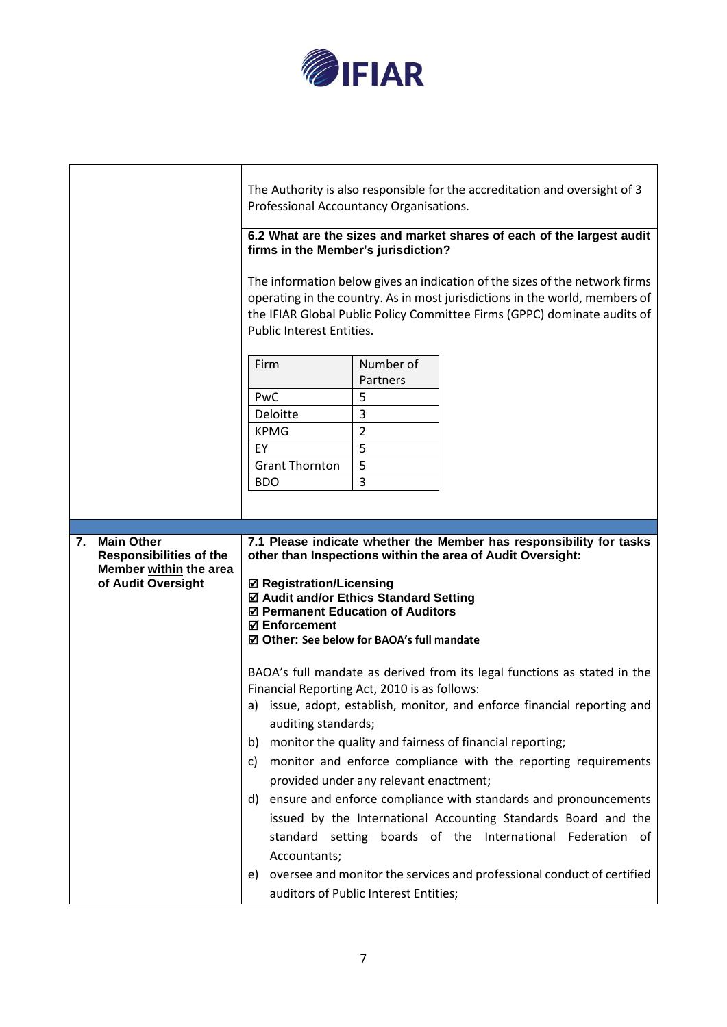

|                                                                                | The Authority is also responsible for the accreditation and oversight of 3<br>Professional Accountancy Organisations.<br>6.2 What are the sizes and market shares of each of the largest audit<br>firms in the Member's jurisdiction?<br>The information below gives an indication of the sizes of the network firms<br>operating in the country. As in most jurisdictions in the world, members of<br>the IFIAR Global Public Policy Committee Firms (GPPC) dominate audits of<br><b>Public Interest Entities.</b> |  |  |
|--------------------------------------------------------------------------------|---------------------------------------------------------------------------------------------------------------------------------------------------------------------------------------------------------------------------------------------------------------------------------------------------------------------------------------------------------------------------------------------------------------------------------------------------------------------------------------------------------------------|--|--|
|                                                                                | Number of<br>Firm<br>Partners<br>5<br>PwC<br>3<br>Deloitte<br>2<br><b>KPMG</b><br>5<br>EY<br>5<br><b>Grant Thornton</b><br>3<br><b>BDO</b>                                                                                                                                                                                                                                                                                                                                                                          |  |  |
| 7.<br><b>Main Other</b>                                                        | 7.1 Please indicate whether the Member has responsibility for tasks                                                                                                                                                                                                                                                                                                                                                                                                                                                 |  |  |
| <b>Responsibilities of the</b><br>Member within the area<br>of Audit Oversight | other than Inspections within the area of Audit Oversight:<br><b>Ø Registration/Licensing</b><br>☑ Audit and/or Ethics Standard Setting<br>☑ Permanent Education of Auditors<br><b>☑ Enforcement</b><br>☑ Other: See below for BAOA's full mandate                                                                                                                                                                                                                                                                  |  |  |
|                                                                                | BAOA's full mandate as derived from its legal functions as stated in the<br>Financial Reporting Act, 2010 is as follows:<br>a) issue, adopt, establish, monitor, and enforce financial reporting and<br>auditing standards;<br>b) monitor the quality and fairness of financial reporting;<br>monitor and enforce compliance with the reporting requirements<br>C)<br>provided under any relevant enactment;<br>d) ensure and enforce compliance with standards and pronouncements                                  |  |  |
|                                                                                | issued by the International Accounting Standards Board and the<br>standard setting boards of the International Federation of<br>Accountants;<br>e) oversee and monitor the services and professional conduct of certified<br>auditors of Public Interest Entities;                                                                                                                                                                                                                                                  |  |  |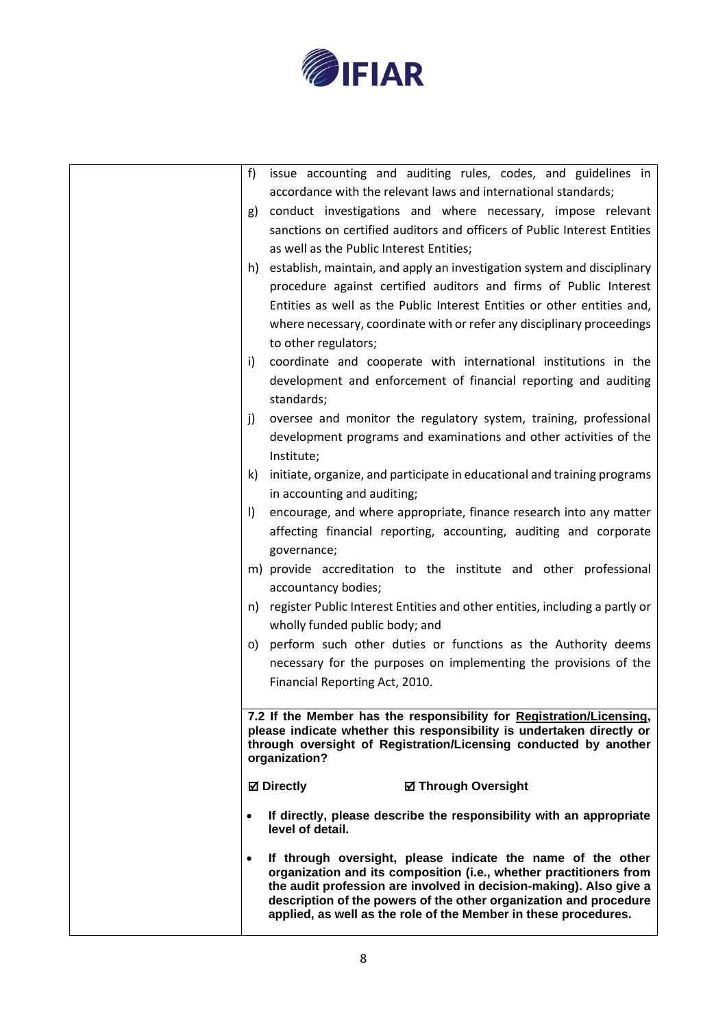

| f            | issue accounting and auditing rules, codes, and guidelines in                                                                                                                                                                                                                                                                                   |
|--------------|-------------------------------------------------------------------------------------------------------------------------------------------------------------------------------------------------------------------------------------------------------------------------------------------------------------------------------------------------|
|              | accordance with the relevant laws and international standards;                                                                                                                                                                                                                                                                                  |
| g)           | conduct investigations and where necessary, impose relevant                                                                                                                                                                                                                                                                                     |
|              | sanctions on certified auditors and officers of Public Interest Entities                                                                                                                                                                                                                                                                        |
|              | as well as the Public Interest Entities;                                                                                                                                                                                                                                                                                                        |
|              | h) establish, maintain, and apply an investigation system and disciplinary                                                                                                                                                                                                                                                                      |
|              | procedure against certified auditors and firms of Public Interest                                                                                                                                                                                                                                                                               |
|              | Entities as well as the Public Interest Entities or other entities and,                                                                                                                                                                                                                                                                         |
|              | where necessary, coordinate with or refer any disciplinary proceedings                                                                                                                                                                                                                                                                          |
|              | to other regulators;                                                                                                                                                                                                                                                                                                                            |
| i)           | coordinate and cooperate with international institutions in the                                                                                                                                                                                                                                                                                 |
|              | development and enforcement of financial reporting and auditing                                                                                                                                                                                                                                                                                 |
|              | standards;                                                                                                                                                                                                                                                                                                                                      |
| j)           | oversee and monitor the regulatory system, training, professional                                                                                                                                                                                                                                                                               |
|              | development programs and examinations and other activities of the                                                                                                                                                                                                                                                                               |
|              | Institute;                                                                                                                                                                                                                                                                                                                                      |
| k)           | initiate, organize, and participate in educational and training programs                                                                                                                                                                                                                                                                        |
|              | in accounting and auditing;                                                                                                                                                                                                                                                                                                                     |
| $\mathbf{I}$ | encourage, and where appropriate, finance research into any matter                                                                                                                                                                                                                                                                              |
|              | affecting financial reporting, accounting, auditing and corporate                                                                                                                                                                                                                                                                               |
|              | governance;                                                                                                                                                                                                                                                                                                                                     |
|              | m) provide accreditation to the institute and other professional                                                                                                                                                                                                                                                                                |
|              | accountancy bodies;                                                                                                                                                                                                                                                                                                                             |
| n)           | register Public Interest Entities and other entities, including a partly or                                                                                                                                                                                                                                                                     |
|              | wholly funded public body; and                                                                                                                                                                                                                                                                                                                  |
|              | o) perform such other duties or functions as the Authority deems                                                                                                                                                                                                                                                                                |
|              | necessary for the purposes on implementing the provisions of the                                                                                                                                                                                                                                                                                |
|              | Financial Reporting Act, 2010.                                                                                                                                                                                                                                                                                                                  |
|              |                                                                                                                                                                                                                                                                                                                                                 |
|              | 7.2 If the Member has the responsibility for Registration/Licensing,<br>please indicate whether this responsibility is undertaken directly or<br>through oversight of Registration/Licensing conducted by another<br>organization?                                                                                                              |
|              | <b>⊠</b> Directly<br><b>Ø Through Oversight</b>                                                                                                                                                                                                                                                                                                 |
|              |                                                                                                                                                                                                                                                                                                                                                 |
| $\bullet$    | If directly, please describe the responsibility with an appropriate<br>level of detail.                                                                                                                                                                                                                                                         |
| $\bullet$    | If through oversight, please indicate the name of the other<br>organization and its composition (i.e., whether practitioners from<br>the audit profession are involved in decision-making). Also give a<br>description of the powers of the other organization and procedure<br>applied, as well as the role of the Member in these procedures. |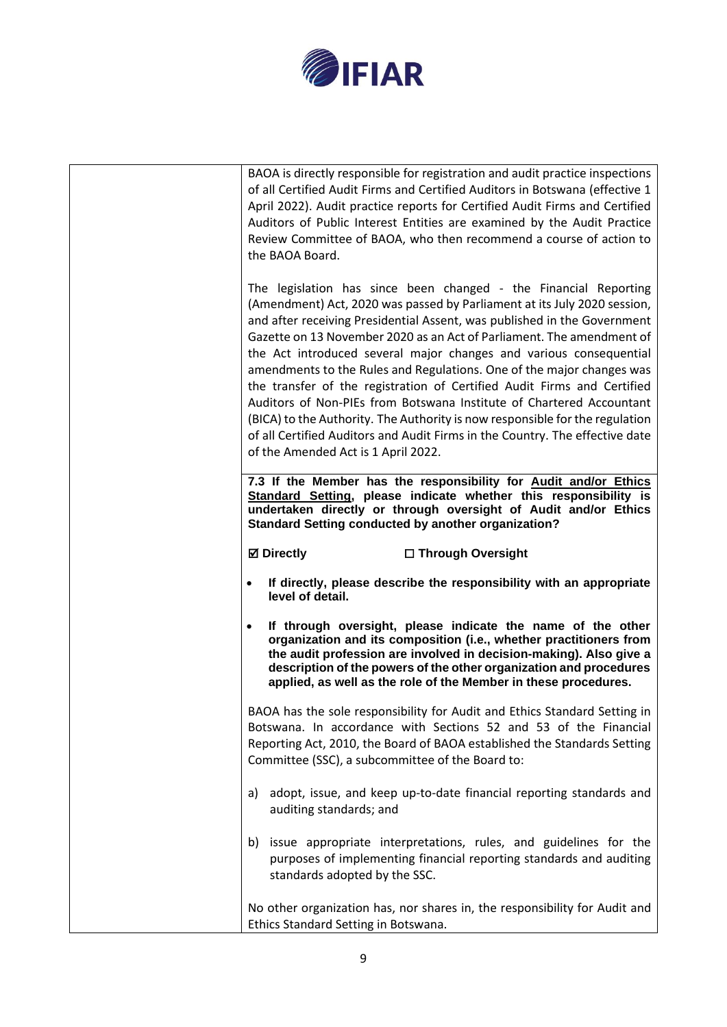

| BAOA is directly responsible for registration and audit practice inspections<br>of all Certified Audit Firms and Certified Auditors in Botswana (effective 1<br>April 2022). Audit practice reports for Certified Audit Firms and Certified<br>Auditors of Public Interest Entities are examined by the Audit Practice<br>Review Committee of BAOA, who then recommend a course of action to<br>the BAOA Board.                                                                                                                                                                                                                                                                                                                                                                                            |
|------------------------------------------------------------------------------------------------------------------------------------------------------------------------------------------------------------------------------------------------------------------------------------------------------------------------------------------------------------------------------------------------------------------------------------------------------------------------------------------------------------------------------------------------------------------------------------------------------------------------------------------------------------------------------------------------------------------------------------------------------------------------------------------------------------|
| The legislation has since been changed - the Financial Reporting<br>(Amendment) Act, 2020 was passed by Parliament at its July 2020 session,<br>and after receiving Presidential Assent, was published in the Government<br>Gazette on 13 November 2020 as an Act of Parliament. The amendment of<br>the Act introduced several major changes and various consequential<br>amendments to the Rules and Regulations. One of the major changes was<br>the transfer of the registration of Certified Audit Firms and Certified<br>Auditors of Non-PIEs from Botswana Institute of Chartered Accountant<br>(BICA) to the Authority. The Authority is now responsible for the regulation<br>of all Certified Auditors and Audit Firms in the Country. The effective date<br>of the Amended Act is 1 April 2022. |
| 7.3 If the Member has the responsibility for Audit and/or Ethics<br>Standard Setting, please indicate whether this responsibility is<br>undertaken directly or through oversight of Audit and/or Ethics<br><b>Standard Setting conducted by another organization?</b>                                                                                                                                                                                                                                                                                                                                                                                                                                                                                                                                      |
| <b>⊠</b> Directly<br>□ Through Oversight                                                                                                                                                                                                                                                                                                                                                                                                                                                                                                                                                                                                                                                                                                                                                                   |
| If directly, please describe the responsibility with an appropriate<br>level of detail.                                                                                                                                                                                                                                                                                                                                                                                                                                                                                                                                                                                                                                                                                                                    |
| If through oversight, please indicate the name of the other<br>organization and its composition (i.e., whether practitioners from<br>the audit profession are involved in decision-making). Also give a<br>description of the powers of the other organization and procedures<br>applied, as well as the role of the Member in these procedures.                                                                                                                                                                                                                                                                                                                                                                                                                                                           |
| BAOA has the sole responsibility for Audit and Ethics Standard Setting in<br>Botswana. In accordance with Sections 52 and 53 of the Financial<br>Reporting Act, 2010, the Board of BAOA established the Standards Setting<br>Committee (SSC), a subcommittee of the Board to:                                                                                                                                                                                                                                                                                                                                                                                                                                                                                                                              |
| adopt, issue, and keep up-to-date financial reporting standards and<br>a)<br>auditing standards; and                                                                                                                                                                                                                                                                                                                                                                                                                                                                                                                                                                                                                                                                                                       |
| b) issue appropriate interpretations, rules, and guidelines for the<br>purposes of implementing financial reporting standards and auditing<br>standards adopted by the SSC.                                                                                                                                                                                                                                                                                                                                                                                                                                                                                                                                                                                                                                |
| No other organization has, nor shares in, the responsibility for Audit and<br>Ethics Standard Setting in Botswana.                                                                                                                                                                                                                                                                                                                                                                                                                                                                                                                                                                                                                                                                                         |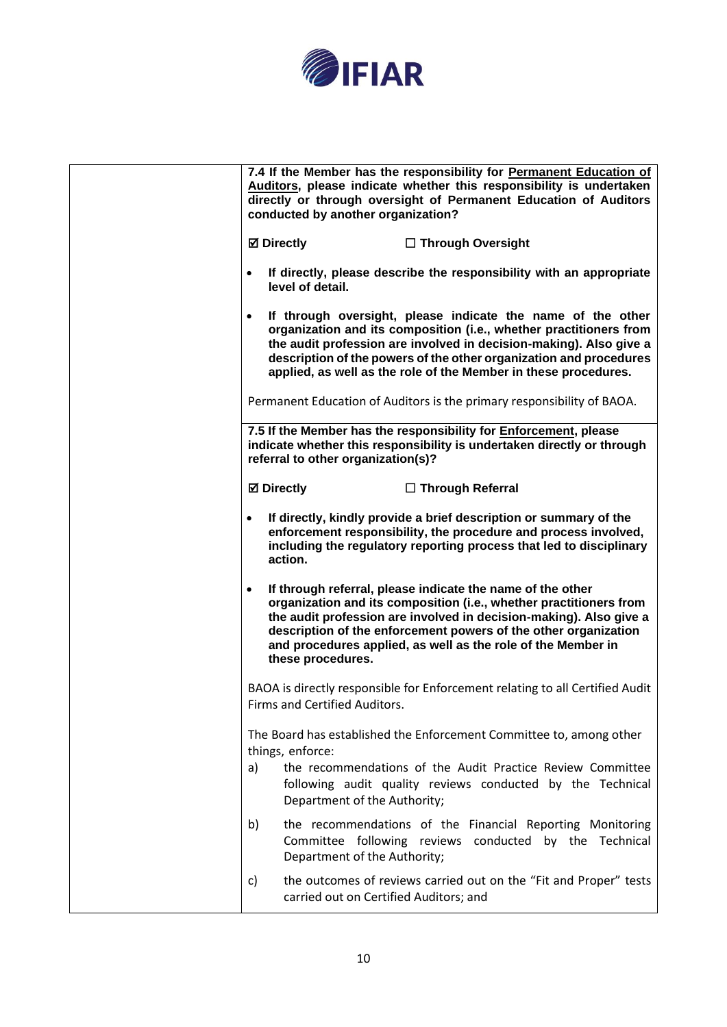

| 7.4 If the Member has the responsibility for Permanent Education of<br>Auditors, please indicate whether this responsibility is undertaken<br>directly or through oversight of Permanent Education of Auditors<br>conducted by another organization?                                                                                                                        |
|-----------------------------------------------------------------------------------------------------------------------------------------------------------------------------------------------------------------------------------------------------------------------------------------------------------------------------------------------------------------------------|
| <b>⊠</b> Directly<br>$\Box$ Through Oversight                                                                                                                                                                                                                                                                                                                               |
| If directly, please describe the responsibility with an appropriate<br>$\bullet$<br>level of detail.                                                                                                                                                                                                                                                                        |
| If through oversight, please indicate the name of the other<br>$\bullet$<br>organization and its composition (i.e., whether practitioners from<br>the audit profession are involved in decision-making). Also give a<br>description of the powers of the other organization and procedures<br>applied, as well as the role of the Member in these procedures.               |
| Permanent Education of Auditors is the primary responsibility of BAOA.                                                                                                                                                                                                                                                                                                      |
| 7.5 If the Member has the responsibility for Enforcement, please<br>indicate whether this responsibility is undertaken directly or through<br>referral to other organization(s)?                                                                                                                                                                                            |
| <b>⊠</b> Directly<br>$\Box$ Through Referral                                                                                                                                                                                                                                                                                                                                |
| If directly, kindly provide a brief description or summary of the<br>$\bullet$<br>enforcement responsibility, the procedure and process involved,<br>including the regulatory reporting process that led to disciplinary<br>action.                                                                                                                                         |
| If through referral, please indicate the name of the other<br>$\bullet$<br>organization and its composition (i.e., whether practitioners from<br>the audit profession are involved in decision-making). Also give a<br>description of the enforcement powers of the other organization<br>and procedures applied, as well as the role of the Member in<br>these procedures. |
| BAOA is directly responsible for Enforcement relating to all Certified Audit<br>Firms and Certified Auditors.                                                                                                                                                                                                                                                               |
| The Board has established the Enforcement Committee to, among other<br>things, enforce:<br>the recommendations of the Audit Practice Review Committee<br>a)<br>following audit quality reviews conducted by the Technical<br>Department of the Authority;                                                                                                                   |
| the recommendations of the Financial Reporting Monitoring<br>b)<br>Committee following reviews conducted by the Technical<br>Department of the Authority;                                                                                                                                                                                                                   |
| the outcomes of reviews carried out on the "Fit and Proper" tests<br>c)<br>carried out on Certified Auditors; and                                                                                                                                                                                                                                                           |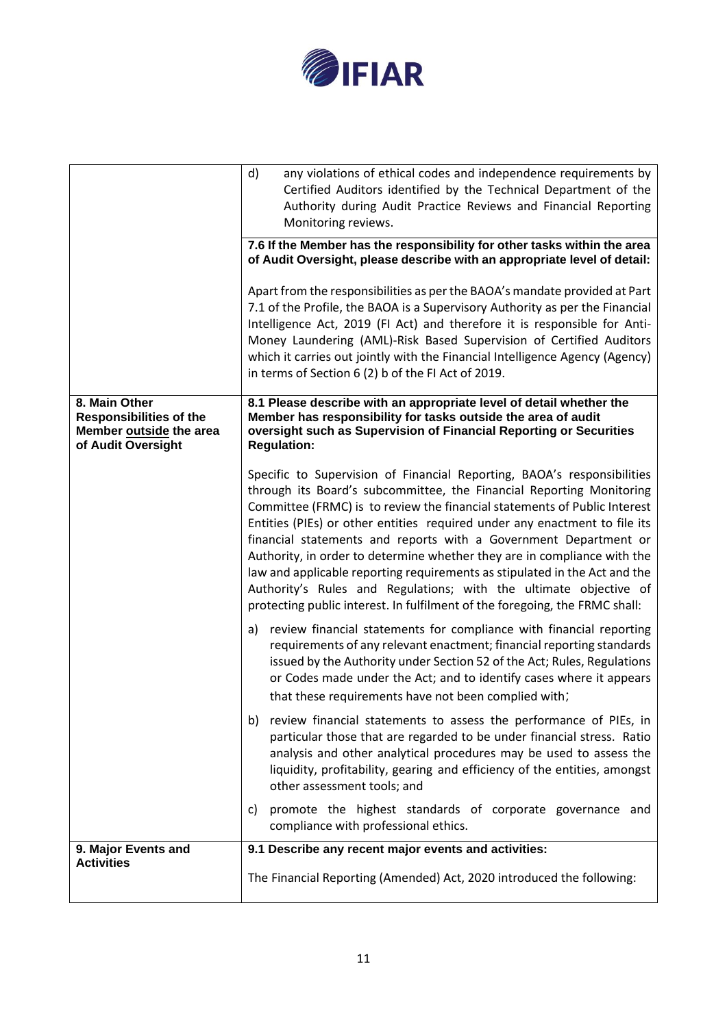

|                                                                                                  | any violations of ethical codes and independence requirements by<br>d)<br>Certified Auditors identified by the Technical Department of the<br>Authority during Audit Practice Reviews and Financial Reporting<br>Monitoring reviews.<br>7.6 If the Member has the responsibility for other tasks within the area<br>of Audit Oversight, please describe with an appropriate level of detail:<br>Apart from the responsibilities as per the BAOA's mandate provided at Part<br>7.1 of the Profile, the BAOA is a Supervisory Authority as per the Financial<br>Intelligence Act, 2019 (FI Act) and therefore it is responsible for Anti-<br>Money Laundering (AML)-Risk Based Supervision of Certified Auditors<br>which it carries out jointly with the Financial Intelligence Agency (Agency)<br>in terms of Section 6 (2) b of the FI Act of 2019.                                                                                                                                                                                                                                                                                                                                                                                                                                                                                                                                                                                                                                                                                                                                                                                                                                                                                         |
|--------------------------------------------------------------------------------------------------|----------------------------------------------------------------------------------------------------------------------------------------------------------------------------------------------------------------------------------------------------------------------------------------------------------------------------------------------------------------------------------------------------------------------------------------------------------------------------------------------------------------------------------------------------------------------------------------------------------------------------------------------------------------------------------------------------------------------------------------------------------------------------------------------------------------------------------------------------------------------------------------------------------------------------------------------------------------------------------------------------------------------------------------------------------------------------------------------------------------------------------------------------------------------------------------------------------------------------------------------------------------------------------------------------------------------------------------------------------------------------------------------------------------------------------------------------------------------------------------------------------------------------------------------------------------------------------------------------------------------------------------------------------------------------------------------------------------------------------------------|
| 8. Main Other<br><b>Responsibilities of the</b><br>Member outside the area<br>of Audit Oversight | 8.1 Please describe with an appropriate level of detail whether the<br>Member has responsibility for tasks outside the area of audit<br>oversight such as Supervision of Financial Reporting or Securities<br><b>Regulation:</b><br>Specific to Supervision of Financial Reporting, BAOA's responsibilities<br>through its Board's subcommittee, the Financial Reporting Monitoring<br>Committee (FRMC) is to review the financial statements of Public Interest<br>Entities (PIEs) or other entities required under any enactment to file its<br>financial statements and reports with a Government Department or<br>Authority, in order to determine whether they are in compliance with the<br>law and applicable reporting requirements as stipulated in the Act and the<br>Authority's Rules and Regulations; with the ultimate objective of<br>protecting public interest. In fulfilment of the foregoing, the FRMC shall:<br>a) review financial statements for compliance with financial reporting<br>requirements of any relevant enactment; financial reporting standards<br>issued by the Authority under Section 52 of the Act; Rules, Regulations<br>or Codes made under the Act; and to identify cases where it appears<br>that these requirements have not been complied with;<br>b) review financial statements to assess the performance of PIEs, in<br>particular those that are regarded to be under financial stress. Ratio<br>analysis and other analytical procedures may be used to assess the<br>liquidity, profitability, gearing and efficiency of the entities, amongst<br>other assessment tools; and<br>promote the highest standards of corporate governance and<br>C)<br>compliance with professional ethics. |
| 9. Major Events and<br><b>Activities</b>                                                         | 9.1 Describe any recent major events and activities:<br>The Financial Reporting (Amended) Act, 2020 introduced the following:                                                                                                                                                                                                                                                                                                                                                                                                                                                                                                                                                                                                                                                                                                                                                                                                                                                                                                                                                                                                                                                                                                                                                                                                                                                                                                                                                                                                                                                                                                                                                                                                                |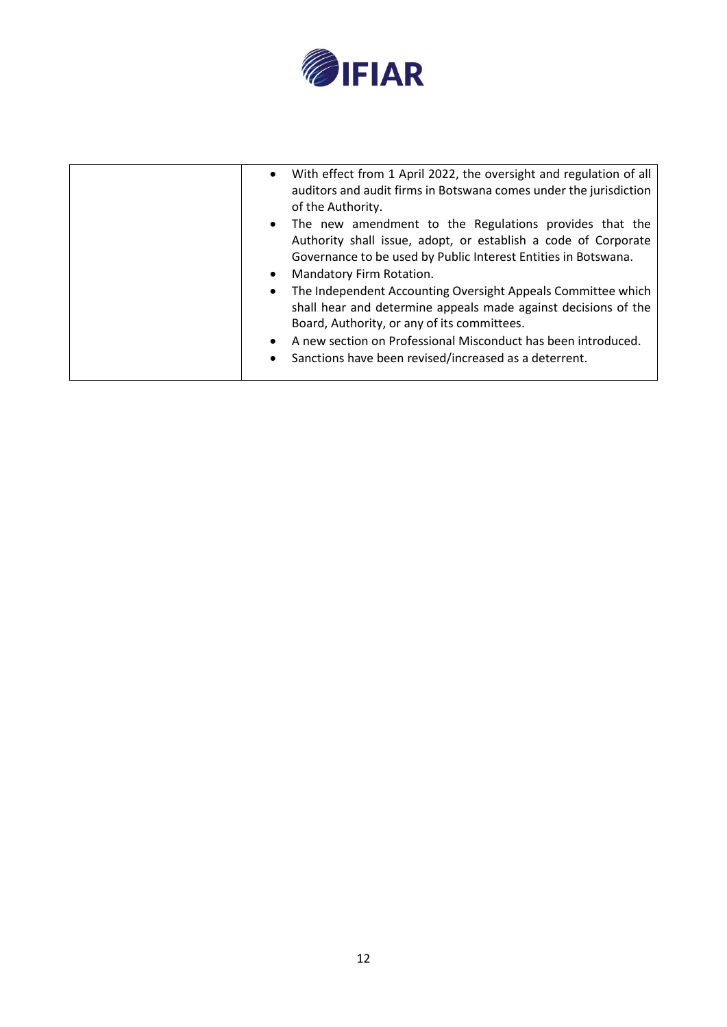

| $\bullet$<br>$\bullet$<br>$\bullet$<br>$\bullet$ | With effect from 1 April 2022, the oversight and regulation of all<br>auditors and audit firms in Botswana comes under the jurisdiction<br>of the Authority.<br>The new amendment to the Regulations provides that the<br>Authority shall issue, adopt, or establish a code of Corporate<br>Governance to be used by Public Interest Entities in Botswana.<br>Mandatory Firm Rotation.<br>The Independent Accounting Oversight Appeals Committee which |
|--------------------------------------------------|--------------------------------------------------------------------------------------------------------------------------------------------------------------------------------------------------------------------------------------------------------------------------------------------------------------------------------------------------------------------------------------------------------------------------------------------------------|
|                                                  | shall hear and determine appeals made against decisions of the<br>Board, Authority, or any of its committees.                                                                                                                                                                                                                                                                                                                                          |
|                                                  | A new section on Professional Misconduct has been introduced.<br>Sanctions have been revised/increased as a deterrent.                                                                                                                                                                                                                                                                                                                                 |